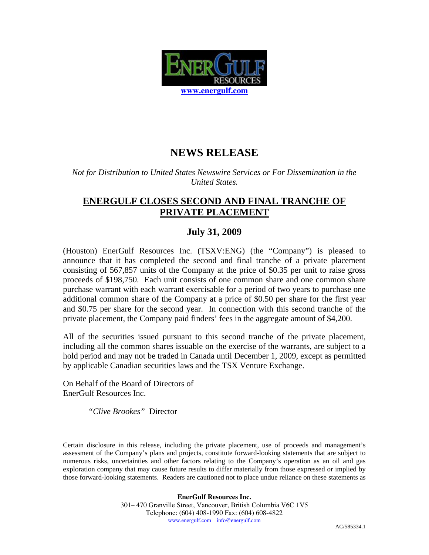

## **NEWS RELEASE**

*Not for Distribution to United States Newswire Services or For Dissemination in the United States.* 

## **ENERGULF CLOSES SECOND AND FINAL TRANCHE OF PRIVATE PLACEMENT**

## **July 31, 2009**

(Houston) EnerGulf Resources Inc. (TSXV:ENG) (the "Company") is pleased to announce that it has completed the second and final tranche of a private placement consisting of 567,857 units of the Company at the price of \$0.35 per unit to raise gross proceeds of \$198,750. Each unit consists of one common share and one common share purchase warrant with each warrant exercisable for a period of two years to purchase one additional common share of the Company at a price of \$0.50 per share for the first year and \$0.75 per share for the second year. In connection with this second tranche of the private placement, the Company paid finders' fees in the aggregate amount of \$4,200.

All of the securities issued pursuant to this second tranche of the private placement, including all the common shares issuable on the exercise of the warrants, are subject to a hold period and may not be traded in Canada until December 1, 2009, except as permitted by applicable Canadian securities laws and the TSX Venture Exchange.

On Behalf of the Board of Directors of EnerGulf Resources Inc.

*"Clive Brookes"* Director

Certain disclosure in this release, including the private placement, use of proceeds and management's assessment of the Company's plans and projects, constitute forward-looking statements that are subject to numerous risks, uncertainties and other factors relating to the Company's operation as an oil and gas exploration company that may cause future results to differ materially from those expressed or implied by those forward-looking statements. Readers are cautioned not to place undue reliance on these statements as

> **EnerGulf Resources Inc.** 301– 470 Granville Street, Vancouver, British Columbia V6C 1V5 Telephone: (604) 408-1990 Fax: (604) 608-4822 www.energulf.com info@energulf.com